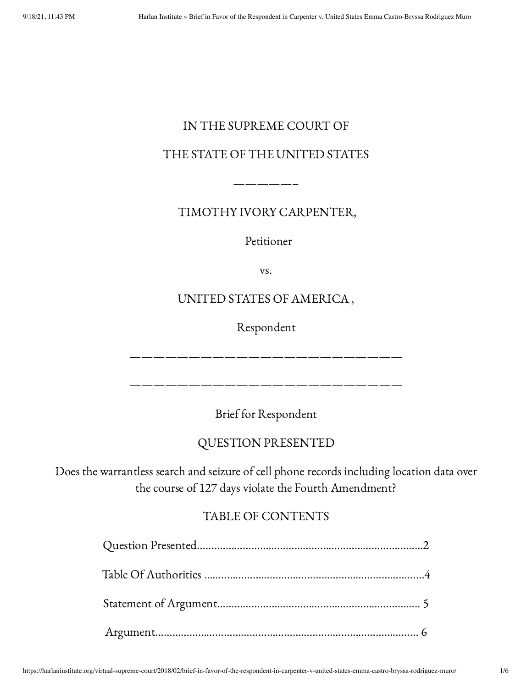# IN THE SUPREME COURT OF

# THE STATE OF THE UNITED STATES

TIMOTHY IVORY CARPENTER,

—————–

Petitioner

vs.

# UNITED STATES OF AMERICA ,

Respondent

———————————————————————

———————————————————————

Brief for Respondent

# QUESTION PRESENTED

Does the warrantless search and seizure of cell phone records including location data over the course of 127 days violate the Fourth Amendment?

# TABLE OF CONTENTS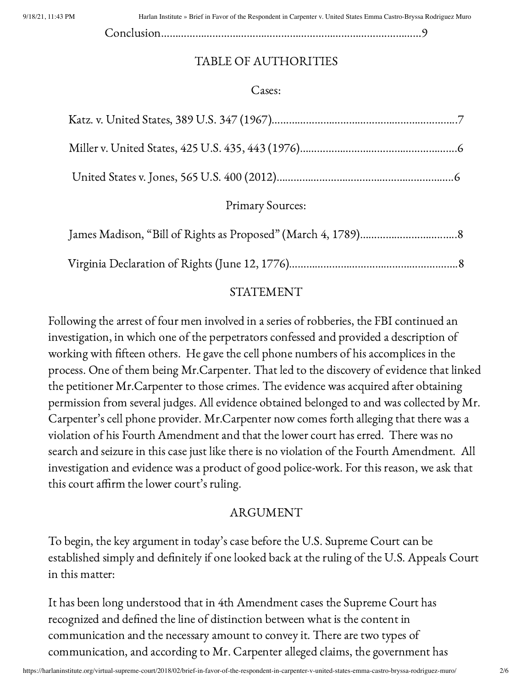9/18/21, 11:43 PM Harlan Institute » Brief in Favor of the Respondent in Carpenter v. United States Emma Castro-Bryssa Rodriguez Muro

Conclusion………………………………………………………………….……………9

### TABLE OF AUTHORITIES

#### Cases:

Primary Sources:

#### STATEMENT

Following the arrest of four men involved in a series of robberies, the FBI continued an investigation, in which one of the perpetrators confessed and provided a description of working with fifteen others. He gave the cell phone numbers of his accomplices in the process. One of them being Mr.Carpenter. That led to the discovery of evidence that linked the petitioner Mr.Carpenter to those crimes. The evidence was acquired after obtaining permission from several judges. All evidence obtained belonged to and was collected by Mr. Carpenter's cell phone provider. Mr.Carpenter now comes forth alleging that there was a violation of his Fourth Amendment and that the lower court has erred. There was no search and seizure in this case just like there is no violation of the Fourth Amendment. All investigation and evidence was a product of good police-work. For this reason, we ask that this court affirm the lower court's ruling.

#### ARGUMENT

To begin, the key argument in today's case before the U.S. Supreme Court can be established simply and definitely if one looked back at the ruling of the U.S. Appeals Court in this matter:

It has been long understood that in 4th Amendment cases the Supreme Court has recognized and defined the line of distinction between what is the content in communication and the necessary amount to convey it. There are two types of communication, and according to Mr. Carpenter alleged claims, the government has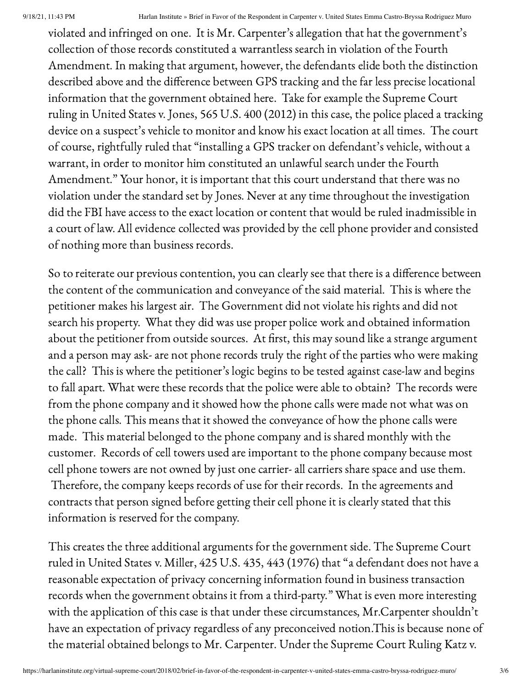violated and infringed on one. It is Mr. Carpenter's allegation that hat the government's collection of those records constituted a warrantless search in violation of the Fourth Amendment. In making that argument, however, the defendants elide both the distinction described above and the difference between GPS tracking and the far less precise locational information that the government obtained here. Take for example the Supreme Court ruling in United States v. Jones, 565 U.S. 400 (2012) in this case, the police placed a tracking device on a suspect's vehicle to monitor and know his exact location at all times. The court of course, rightfully ruled that "installing a GPS tracker on defendant's vehicle, without a warrant, in order to monitor him constituted an unlawful search under the Fourth Amendment." Your honor, it is important that this court understand that there was no violation under the standard set by Jones. Never at any time throughout the investigation did the FBI have access to the exact location or content that would be ruled inadmissible in a court of law. All evidence collected was provided by the cell phone provider and consisted of nothing more than business records.

So to reiterate our previous contention, you can clearly see that there is a difference between the content of the communication and conveyance of the said material. This is where the petitioner makes his largest air. The Government did not violate his rights and did not search his property. What they did was use proper police work and obtained information about the petitioner from outside sources. At first, this may sound like a strange argument and a person may ask- are not phone records truly the right of the parties who were making the call? This is where the petitioner's logic begins to be tested against case-law and begins to fall apart. What were these records that the police were able to obtain? The records were from the phone company and it showed how the phone calls were made not what was on the phone calls. This means that it showed the conveyance of how the phone calls were made. This material belonged to the phone company and is shared monthly with the customer. Records of cell towers used are important to the phone company because most cell phone towers are not owned by just one carrier- all carriers share space and use them. Therefore, the company keeps records of use for their records. In the agreements and contracts that person signed before getting their cell phone it is clearly stated that this information is reserved for the company.

This creates the three additional arguments for the government side. The Supreme Court ruled in United States v. Miller, 425 U.S. 435, 443 (1976) that "a defendant does not have a reasonable expectation of privacy concerning information found in business transaction records when the government obtains it from a third-party." What is even more interesting with the application of this case is that under these circumstances, Mr.Carpenter shouldn't have an expectation of privacy regardless of any preconceived notion.This is because none of the material obtained belongs to Mr. Carpenter. Under the Supreme Court Ruling Katz v.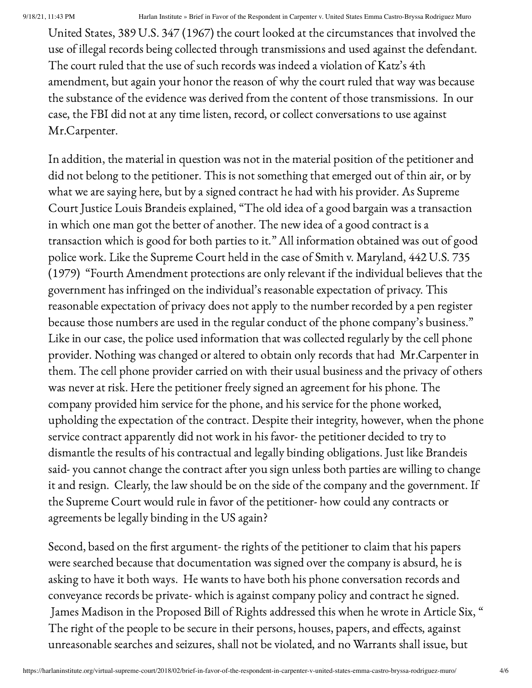United States, 389 U.S. 347 (1967) the court looked at the circumstances that involved the use of illegal records being collected through transmissions and used against the defendant. The court ruled that the use of such records was indeed a violation of Katz's 4th amendment, but again your honor the reason of why the court ruled that way was because the substance of the evidence was derived from the content of those transmissions. In our case, the FBI did not at any time listen, record, or collect conversations to use against Mr.Carpenter.

In addition, the material in question was not in the material position of the petitioner and did not belong to the petitioner. This is not something that emerged out of thin air, or by what we are saying here, but by a signed contract he had with his provider. As Supreme Court Justice Louis Brandeis explained, "The old idea of a good bargain was a transaction in which one man got the better of another. The new idea of a good contract is a transaction which is good for both parties to it." All information obtained was out of good police work. Like the Supreme Court held in the case of Smith v. Maryland, 442 U.S. 735 (1979) "Fourth Amendment protections are only relevant if the individual believes that the government has infringed on the individual's reasonable expectation of privacy. This reasonable expectation of privacy does not apply to the number recorded by a pen register because those numbers are used in the regular conduct of the phone company's business." Like in our case, the police used information that was collected regularly by the cell phone provider. Nothing was changed or altered to obtain only records that had Mr.Carpenter in them. The cell phone provider carried on with their usual business and the privacy of others was never at risk. Here the petitioner freely signed an agreement for his phone. The company provided him service for the phone, and his service for the phone worked, upholding the expectation of the contract. Despite their integrity, however, when the phone service contract apparently did not work in his favor- the petitioner decided to try to dismantle the results of his contractual and legally binding obligations. Just like Brandeis said- you cannot change the contract after you sign unless both parties are willing to change it and resign. Clearly, the law should be on the side of the company and the government. If the Supreme Court would rule in favor of the petitioner- how could any contracts or agreements be legally binding in the US again?

Second, based on the first argument- the rights of the petitioner to claim that his papers were searched because that documentation was signed over the company is absurd, he is asking to have it both ways. He wants to have both his phone conversation records and conveyance records be private- which is against company policy and contract he signed. James Madison in the Proposed Bill of Rights addressed this when he wrote in Article Six, " The right of the people to be secure in their persons, houses, papers, and effects, against unreasonable searches and seizures, shall not be violated, and no Warrants shall issue, but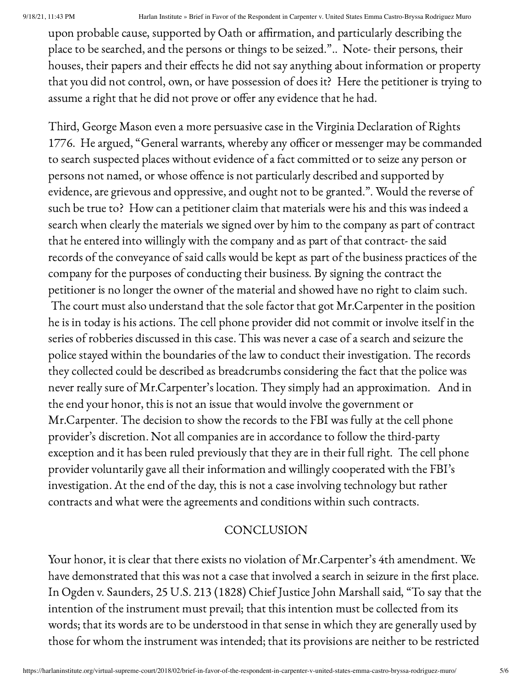9/18/21, 11:43 PM Harlan Institute » Brief in Favor of the Respondent in Carpenter v. United States Emma Castro-Bryssa Rodriguez Muro

upon probable cause, supported by Oath or affirmation, and particularly describing the place to be searched, and the persons or things to be seized.".. Note- their persons, their houses, their papers and their effects he did not say anything about information or property that you did not control, own, or have possession of does it? Here the petitioner is trying to assume a right that he did not prove or offer any evidence that he had.

Third, George Mason even a more persuasive case in the Virginia Declaration of Rights 1776. He argued, "General warrants, whereby any officer or messenger may be commanded to search suspected places without evidence of a fact committed or to seize any person or persons not named, or whose offence is not particularly described and supported by evidence, are grievous and oppressive, and ought not to be granted.". Would the reverse of such be true to? How can a petitioner claim that materials were his and this was indeed a search when clearly the materials we signed over by him to the company as part of contract that he entered into willingly with the company and as part of that contract- the said records of the conveyance of said calls would be kept as part of the business practices of the company for the purposes of conducting their business. By signing the contract the petitioner is no longer the owner of the material and showed have no right to claim such.

The court must also understand that the sole factor that got Mr.Carpenter in the position he is in today is his actions. The cell phone provider did not commit or involve itself in the series of robberies discussed in this case. This was never a case of a search and seizure the police stayed within the boundaries of the law to conduct their investigation. The records they collected could be described as breadcrumbs considering the fact that the police was never really sure of Mr.Carpenter's location. They simply had an approximation. And in the end your honor, this is not an issue that would involve the government or Mr.Carpenter. The decision to show the records to the FBI was fully at the cell phone provider's discretion. Not all companies are in accordance to follow the third-party exception and it has been ruled previously that they are in their full right. The cell phone provider voluntarily gave all their information and willingly cooperated with the FBI's investigation. At the end of the day, this is not a case involving technology but rather contracts and what were the agreements and conditions within such contracts.

#### **CONCLUSION**

Your honor, it is clear that there exists no violation of Mr.Carpenter's 4th amendment. We have demonstrated that this was not a case that involved a search in seizure in the first place. In Ogden v. Saunders, 25 U.S. 213 (1828) Chief Justice John Marshall said, "To say that the intention of the instrument must prevail; that this intention must be collected from its words; that its words are to be understood in that sense in which they are generally used by those for whom the instrument was intended; that its provisions are neither to be restricted